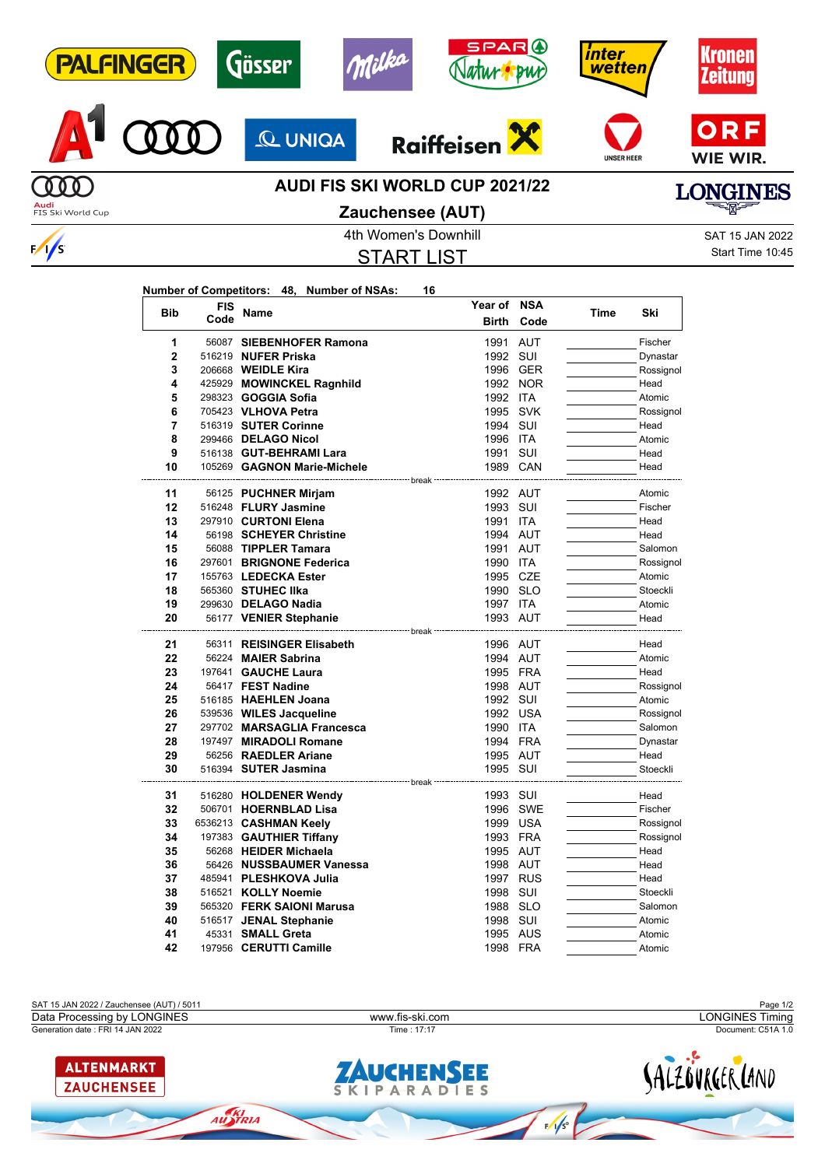| <b>PALFINGER</b>  |            |                    | Gösser                                     | Milka                | AR          |          | inter<br>wetten   |           | <b><i><u><b>Kronen</b></u></i></b><br>Zeitung |
|-------------------|------------|--------------------|--------------------------------------------|----------------------|-------------|----------|-------------------|-----------|-----------------------------------------------|
|                   |            |                    | <b>Q UNIGA</b>                             | <b>Raiffeiser</b>    |             |          | <b>UNSER HEER</b> |           | ORF<br>WIE WIR.                               |
| FIS Ski World Cup |            |                    | <b>AUDI FIS SKI WORLD CUP 2021/22</b>      | Zauchensee (AUT)     |             |          |                   |           | LONGINES                                      |
|                   |            |                    |                                            | 4th Women's Downhill |             |          |                   |           | <b>SAT 15 JAN 2022</b>                        |
| $\sqrt{s}$        |            |                    |                                            |                      |             |          |                   |           | Start Time 10:45                              |
|                   |            |                    |                                            | <b>START LIST</b>    |             |          |                   |           |                                               |
|                   |            |                    |                                            |                      |             |          |                   |           |                                               |
|                   |            |                    | Number of Competitors: 48, Number of NSAs: | 16                   | Year of NSA |          |                   |           |                                               |
|                   | Bib        | <b>FIS</b><br>Code | Name                                       |                      | Birth       | Code     | Time              | Ski       |                                               |
|                   |            |                    |                                            |                      |             |          |                   |           |                                               |
|                   | 1          |                    | 56087 SIEBENHOFER Ramona                   |                      | 1991 AUT    |          |                   | Fischer   |                                               |
|                   | 2          |                    | 516219 NUFER Priska                        |                      | 1992 SUI    |          |                   | Dynastar  |                                               |
|                   | 3          |                    | 206668 WEIDLE Kira                         |                      |             | 1996 GER |                   | Rossignol |                                               |
|                   | 4          |                    | 425929 MOWINCKEL Ragnhild                  |                      |             | 1992 NOR |                   | Head      |                                               |
|                   | 5          |                    | 298323 GOGGIA Sofia                        |                      | 1992 ITA    |          |                   | Atomic    |                                               |
|                   | 6          |                    | 705423 VLHOVA Petra                        |                      | 1995 SVK    |          |                   | Rossignol |                                               |
|                   | 7          |                    | 516319 SUTER Corinne                       |                      | 1994 SUI    |          |                   | Head      |                                               |
|                   | 8          |                    | 299466 DELAGO Nicol                        |                      | 1996 ITA    |          |                   | Atomic    |                                               |
|                   | 9          |                    | 516138 GUT-BEHRAMI Lara                    |                      | 1991 SUI    |          |                   | Head      |                                               |
|                   | 10         |                    | 105269 GAGNON Marie-Michele                |                      | 1989 CAN    |          |                   | Head      |                                               |
|                   | 11         |                    | 56125 PUCHNER Mirjam                       | break                | 1992 AUT    |          |                   | Atomic    |                                               |
|                   | 12         |                    | 516248 FLURY Jasmine                       |                      | 1993 SUI    |          |                   | Fischer   |                                               |
|                   | 13         |                    | 297910 CURTONI Elena                       |                      | 1991 ITA    |          |                   | Head      |                                               |
|                   | 14         |                    | 56198 SCHEYER Christine                    |                      | 1994 AUT    |          |                   | Head      |                                               |
|                   | 15         |                    | 56088 TIPPLER Tamara                       |                      | 1991 AUT    |          |                   | Salomon   |                                               |
|                   |            |                    |                                            |                      |             |          |                   |           |                                               |
|                   | 16         |                    | 297601 BRIGNONE Federica                   |                      | 1990 ITA    |          |                   | Rossignol |                                               |
|                   | 17         |                    | 155763 LEDECKA Ester                       |                      | 1995 CZE    |          |                   | Atomic    |                                               |
|                   | 18         |                    | 565360 STUHEC IIka                         |                      | 1990 SLO    |          |                   | Stoeckli  |                                               |
|                   | 19         |                    | 299630 DELAGO Nadia                        |                      | 1997 ITA    |          |                   | Atomic    |                                               |
|                   | 20         |                    | 56177 VENIER Stephanie                     | break                | 1993 AUT    |          |                   | Head      |                                               |
|                   | 21         |                    | 56311 REISINGER Elisabeth                  |                      | 1996 AUT    |          |                   | Head      |                                               |
|                   | ${\bf 22}$ |                    | 56224 MAIER Sabrina                        |                      | 1994 AUT    |          |                   | Atomic    |                                               |
|                   | 23         |                    | 197641 GAUCHE Laura                        |                      | 1995 FRA    |          |                   | Head      |                                               |
|                   | 24         |                    | 56417 FEST Nadine                          |                      | 1998 AUT    |          |                   | Rossignol |                                               |
|                   | 25         |                    | 516185 HAEHLEN Joana                       |                      | 1992 SUI    |          |                   | Atomic    |                                               |
|                   | 26         |                    | 539536 WILES Jacqueline                    |                      |             | 1992 USA |                   | Rossignol |                                               |
|                   | 27         |                    | 297702 MARSAGLIA Francesca                 |                      | 1990 ITA    |          |                   | Salomon   |                                               |
|                   | 28         |                    | 197497 MIRADOLI Romane                     |                      | 1994 FRA    |          |                   | Dynastar  |                                               |
|                   | 29         |                    | 56256 RAEDLER Ariane                       |                      |             | 1995 AUT |                   | Head      |                                               |
|                   | 30         |                    | 516394 SUTER Jasmina                       |                      | 1995 SUI    |          |                   | Stoeckli  |                                               |
|                   |            |                    |                                            | break ----------     |             |          |                   |           |                                               |
|                   | 31         |                    | 516280 HOLDENER Wendy                      |                      | 1993 SUI    |          |                   | Head      |                                               |
|                   | 32         |                    | 506701 HOERNBLAD Lisa                      |                      |             | 1996 SWE |                   | Fischer   |                                               |
|                   | 33         |                    | 6536213 CASHMAN Keely                      |                      |             | 1999 USA |                   | Rossignol |                                               |
|                   | 34         |                    | 197383 GAUTHIER Tiffany                    |                      | 1993 FRA    |          |                   | Rossignol |                                               |
|                   | 35         |                    | 56268 HEIDER Michaela                      |                      | 1995 AUT    |          |                   | Head      |                                               |
|                   | 36         |                    | 56426 NUSSBAUMER Vanessa                   |                      | 1998 AUT    |          |                   | Head      |                                               |
|                   | 37         |                    | 485941 PLESHKOVA Julia                     |                      |             | 1997 RUS |                   | Head      |                                               |
|                   |            |                    |                                            |                      |             |          |                   |           |                                               |

**485941 PLESHKOVA Julia** 1997 RUS **Head** Head<br>516521 **KOLLY Noemie** 1998 SUI Stoeckli **38** 516521 **KOLLY Noemie 1998 SUI Stoeckli**<br> **39** 565320 **FERK SAIONI Marusa** 1988 SLO Salomon

197956 **CERUTTI Camille** 1998 FRA Atomic

**40** 516517 **JENAL Stephanie** 1998 SUI **CHANGE Atomic**<br>**41** 45331 **SMALL Greta** 1995 AUS Atomic

**39** 565320 **FERK SAIONI Marusa** 1988 SLO<br>**40** 516517 **JENAL Stephanie** 1998 SUI

**41** 45331 **SMALL Greta** 1995 AUS<br>**42** 197956 **CERUTTI Camille** 1998 FRA

SAT 15 JAN 2022 / Zauchensee (AUT) / 5011 Page 1/2



 $\frac{1}{\sqrt{2}}$ 

AUSTRIA

**ZAUCHENSEE**